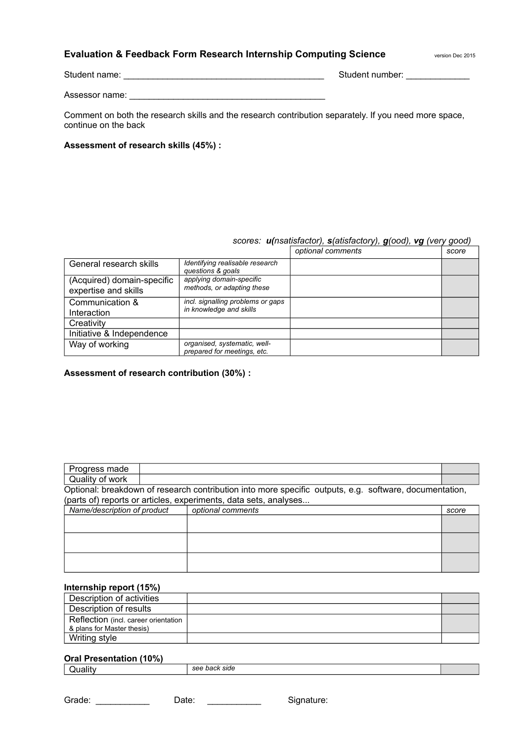### **Evaluation & Feedback Form Research Internship Computing Science** version Dec 2015

Student name: <br>
Student number:

Assessor name: \_\_\_\_\_\_\_\_\_\_\_\_\_\_\_\_\_\_\_\_\_\_\_\_\_\_\_\_\_\_\_\_\_\_\_\_\_\_\_\_

Comment on both the research skills and the research contribution separately. If you need more space, continue on the back

#### **Assessment of research skills (45%) :**

### *scores: u(nsatisfactor), s(atisfactory), g(ood), vg (very good)*

|                                                    |                                                              | optional comments | score |
|----------------------------------------------------|--------------------------------------------------------------|-------------------|-------|
| General research skills                            | Identifying realisable research<br>questions & goals         |                   |       |
| (Acquired) domain-specific<br>expertise and skills | applying domain-specific<br>methods, or adapting these       |                   |       |
| Communication &<br>Interaction                     | incl. signalling problems or gaps<br>in knowledge and skills |                   |       |
| Creativity                                         |                                                              |                   |       |
| Initiative & Independence                          |                                                              |                   |       |
| Way of working                                     | organised, systematic, well-<br>prepared for meetings, etc.  |                   |       |

#### **Assessment of research contribution (30%) :**

| Progress made               |                                                                                                        |                                                                  |       |  |
|-----------------------------|--------------------------------------------------------------------------------------------------------|------------------------------------------------------------------|-------|--|
| Quality of work             |                                                                                                        |                                                                  |       |  |
|                             | Optional: breakdown of research contribution into more specific outputs, e.g. software, documentation, |                                                                  |       |  |
|                             |                                                                                                        | (parts of) reports or articles, experiments, data sets, analyses |       |  |
| Name/description of product |                                                                                                        | optional comments                                                | score |  |
|                             |                                                                                                        |                                                                  |       |  |
|                             |                                                                                                        |                                                                  |       |  |
|                             |                                                                                                        |                                                                  |       |  |
|                             |                                                                                                        |                                                                  |       |  |
|                             |                                                                                                        |                                                                  |       |  |
|                             |                                                                                                        |                                                                  |       |  |

#### **Internship report (15%)**

| Description of activities            |  |
|--------------------------------------|--|
| Description of results               |  |
| Reflection (incl. career orientation |  |
| & plans for Master thesis)           |  |
| Writing style                        |  |

#### **Oral Presentation (10%)**

| <br>side<br>.<br>$\overline{\phantom{a}}$<br>. |  |
|------------------------------------------------|--|
|------------------------------------------------|--|